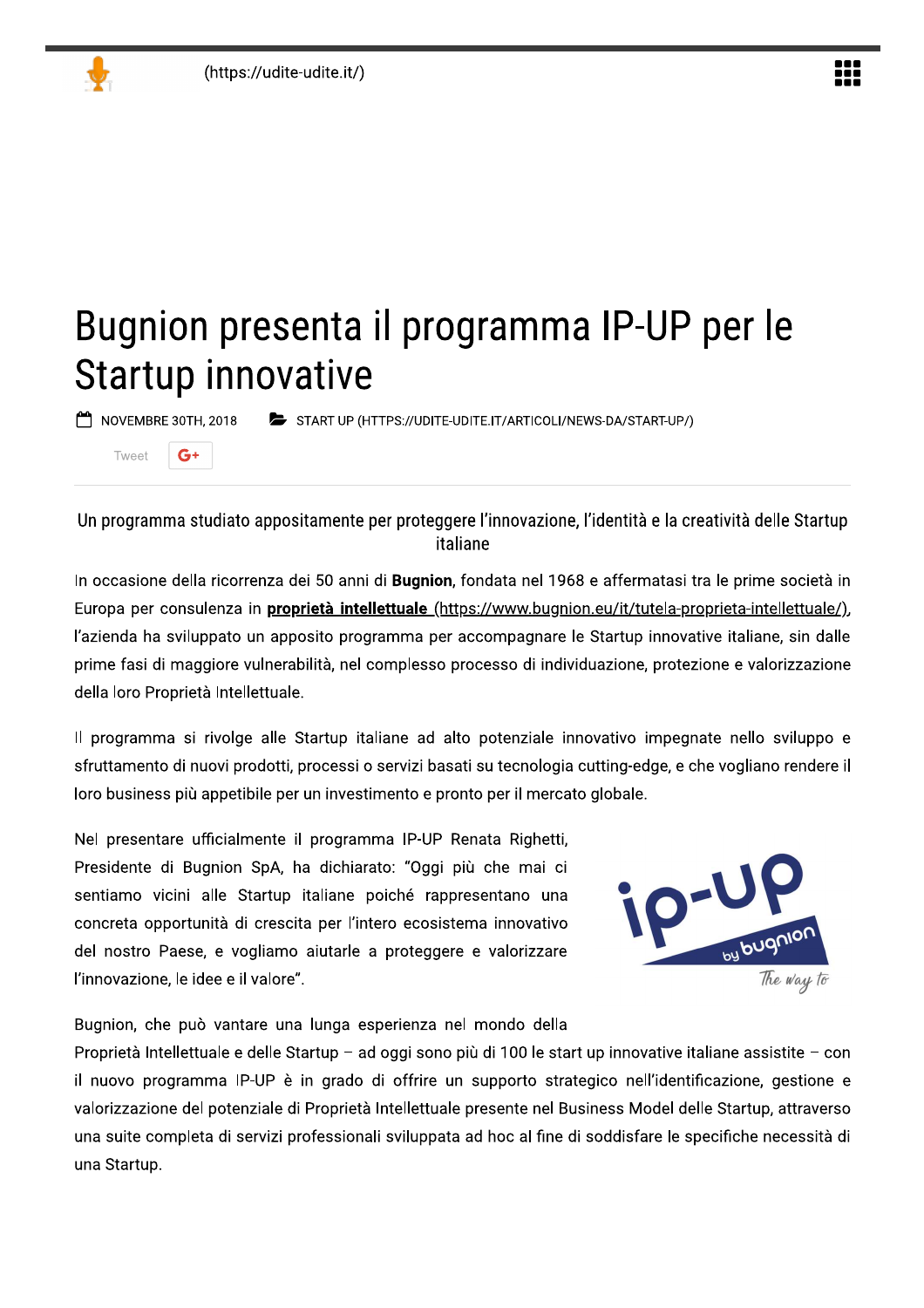$G<sup>+</sup>$ 

 $T_{\text{M/}\Omega}$ ot

# Bugnion presenta il programma IP-UP per le **Startup innovative**

NOVEMBRE 30TH, 2018 START UP (HTTPS://UDITE-UDITE.IT/ARTICOLI/NEWS-DA/START-UP/)

Un programma studiato appositamente per proteggere l'innovazione, l'identità e la creatività delle Startup italiane

In occasione della ricorrenza dei 50 anni di Bugnion, fondata nel 1968 e affermatasi tra le prime società in Europa per consulenza in proprietà intellettuale (https://www.bugnion.eu/it/tutela-proprieta-intellettuale/), l'azienda ha sviluppato un apposito programma per accompagnare le Startup innovative italiane, sin dalle prime fasi di maggiore vulnerabilità, nel complesso processo di individuazione, protezione e valorizzazione della loro Proprietà Intellettuale.

Il programma si rivolge alle Startup italiane ad alto potenziale innovativo impegnate nello sviluppo e sfruttamento di nuovi prodotti, processi o servizi basati su tecnologia cutting-edge, e che vogliano rendere il loro business più appetibile per un investimento e pronto per il mercato globale.

Nel presentare ufficialmente il programma IP-UP Renata Righetti, Presidente di Bugnion SpA, ha dichiarato: "Oggi più che mai ci sentiamo vicini alle Startup italiane poiché rappresentano una concreta opportunità di crescita per l'intero ecosistema innovativo del nostro Paese, e vogliamo aiutarle a proteggere e valorizzare l'innovazione, le idee e il valore".



Bugnion, che può vantare una lunga esperienza nel mondo della

Proprietà Intellettuale e delle Startup - ad oggi sono più di 100 le start up innovative italiane assistite - con il nuovo programma IP-UP è in grado di offrire un supporto strategico nell'identificazione, gestione e valorizzazione del potenziale di Proprietà Intellettuale presente nel Business Model delle Startup, attraverso una suite completa di servizi professionali sviluppata ad hoc al fine di soddisfare le specifiche necessità di una Startup.